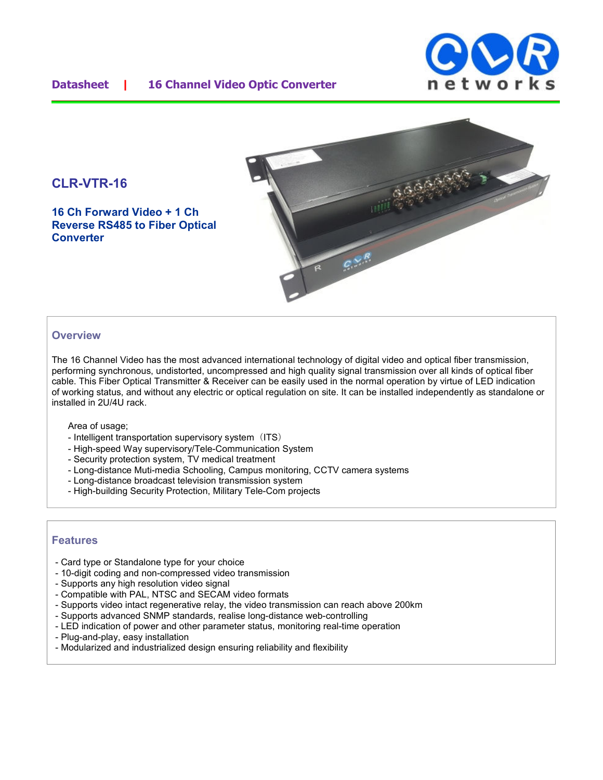### **Datasheet | 16 Channel Video Optic Converter**





**16 Ch Forward Video + 1 Ch Reverse RS485 to Fiber Optical Converter**



#### **Overview**

The 16 Channel Video has the most advanced international technology of digital video and optical fiber transmission, performing synchronous, undistorted, uncompressed and high quality signal transmission over all kinds of optical fiber cable. This Fiber Optical Transmitter & Receiver can be easily used in the normal operation by virtue of LED indication of working status, and without any electric or optical regulation on site. It can be installed independently as standalone or installed in 2U/4U rack.

Area of usage;

- Intelligent transportation supervisory system (ITS)
- High-speed Way supervisory/Tele-Communication System
- Security protection system, TV medical treatment
- Long-distance Muti-media Schooling, Campus monitoring, CCTV camera systems
- Long-distance broadcast television transmission system
- High-building Security Protection, Military Tele-Com projects

#### **Features**

- Card type or Standalone type for your choice
- 10-digit coding and non-compressed video transmission
- Supports any high resolution video signal
- Compatible with PAL, NTSC and SECAM video formats
- Supports video intact regenerative relay, the video transmission can reach above 200km
- Supports advanced SNMP standards, realise long-distance web-controlling
- LED indication of power and other parameter status, monitoring real-time operation
- Plug-and-play, easy installation
- Modularized and industrialized design ensuring reliability and flexibility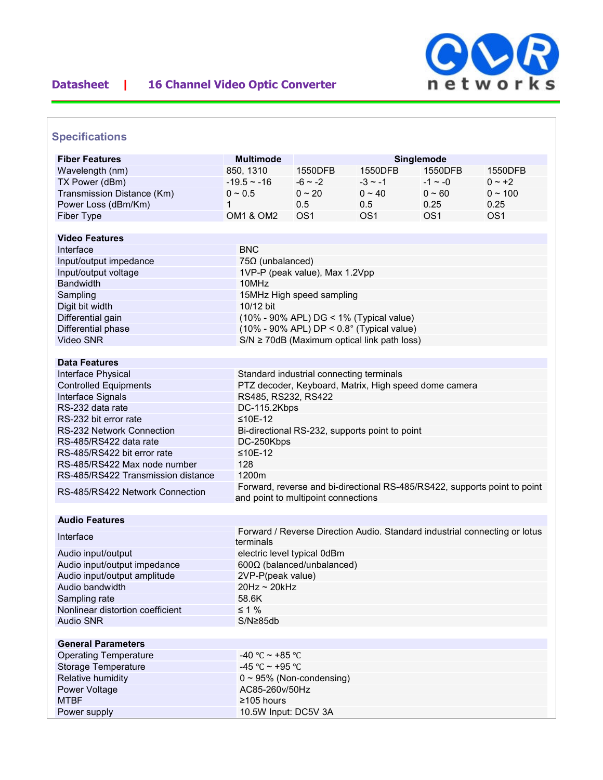

# **Datasheet | 16 Channel Video Optic Converter**

|  |  | <b>Specifications</b> |  |  |  |  |
|--|--|-----------------------|--|--|--|--|
|  |  |                       |  |  |  |  |

| <b>Fiber Features</b>              | <b>Multimode</b>                               |                                                                                                                  |                 | Singlemode      |                                                                            |  |  |  |  |
|------------------------------------|------------------------------------------------|------------------------------------------------------------------------------------------------------------------|-----------------|-----------------|----------------------------------------------------------------------------|--|--|--|--|
|                                    |                                                |                                                                                                                  |                 |                 |                                                                            |  |  |  |  |
| Wavelength (nm)                    | 850, 1310                                      | 1550DFB                                                                                                          | 1550DFB         | 1550DFB         | 1550DFB                                                                    |  |  |  |  |
| TX Power (dBm)                     | $-19.5 - 16$                                   | $-6$ ~ $-2$                                                                                                      | $-3 \sim -1$    | $-1 \sim -0$    | $0 - +2$                                                                   |  |  |  |  |
| Transmission Distance (Km)         | $0 \sim 0.5$                                   | $0 \sim 20$                                                                                                      | $0 \sim 40$     | $0 - 60$        | $0 \sim 100$                                                               |  |  |  |  |
| Power Loss (dBm/Km)                | 1                                              | 0.5                                                                                                              | 0.5             | 0.25            | 0.25                                                                       |  |  |  |  |
| Fiber Type                         | <b>OM1 &amp; OM2</b>                           | OS <sub>1</sub>                                                                                                  | OS <sub>1</sub> | OS <sub>1</sub> | OS <sub>1</sub>                                                            |  |  |  |  |
| <b>Video Features</b>              |                                                |                                                                                                                  |                 |                 |                                                                            |  |  |  |  |
| Interface                          | <b>BNC</b>                                     |                                                                                                                  |                 |                 |                                                                            |  |  |  |  |
|                                    |                                                | $75\Omega$ (unbalanced)                                                                                          |                 |                 |                                                                            |  |  |  |  |
| Input/output impedance             |                                                | 1VP-P (peak value), Max 1.2Vpp                                                                                   |                 |                 |                                                                            |  |  |  |  |
| Input/output voltage               |                                                |                                                                                                                  |                 |                 |                                                                            |  |  |  |  |
| Bandwidth                          |                                                | 10MHz                                                                                                            |                 |                 |                                                                            |  |  |  |  |
| Sampling                           |                                                | 15MHz High speed sampling                                                                                        |                 |                 |                                                                            |  |  |  |  |
| Digit bit width                    |                                                | 10/12 bit                                                                                                        |                 |                 |                                                                            |  |  |  |  |
| Differential gain                  |                                                | (10% - 90% APL) DG < 1% (Typical value)                                                                          |                 |                 |                                                                            |  |  |  |  |
| Differential phase                 |                                                | $(10\% - 90\% APL) DP < 0.8$ ° (Typical value)                                                                   |                 |                 |                                                                            |  |  |  |  |
| Video SNR                          |                                                | $S/N \ge 70$ dB (Maximum optical link path loss)                                                                 |                 |                 |                                                                            |  |  |  |  |
|                                    |                                                |                                                                                                                  |                 |                 |                                                                            |  |  |  |  |
| <b>Data Features</b>               |                                                |                                                                                                                  |                 |                 |                                                                            |  |  |  |  |
| Interface Physical                 |                                                | Standard industrial connecting terminals                                                                         |                 |                 |                                                                            |  |  |  |  |
| <b>Controlled Equipments</b>       |                                                | PTZ decoder, Keyboard, Matrix, High speed dome camera                                                            |                 |                 |                                                                            |  |  |  |  |
| Interface Signals                  |                                                | RS485, RS232, RS422                                                                                              |                 |                 |                                                                            |  |  |  |  |
| RS-232 data rate                   | DC-115.2Kbps                                   |                                                                                                                  |                 |                 |                                                                            |  |  |  |  |
| RS-232 bit error rate              | $≤10E-12$                                      |                                                                                                                  |                 |                 |                                                                            |  |  |  |  |
| RS-232 Network Connection          | Bi-directional RS-232, supports point to point |                                                                                                                  |                 |                 |                                                                            |  |  |  |  |
| RS-485/RS422 data rate             |                                                | DC-250Kbps                                                                                                       |                 |                 |                                                                            |  |  |  |  |
| RS-485/RS422 bit error rate        |                                                | $≤10E-12$                                                                                                        |                 |                 |                                                                            |  |  |  |  |
| RS-485/RS422 Max node number       | 128                                            |                                                                                                                  |                 |                 |                                                                            |  |  |  |  |
| RS-485/RS422 Transmission distance | 1200m                                          |                                                                                                                  |                 |                 |                                                                            |  |  |  |  |
| RS-485/RS422 Network Connection    |                                                | Forward, reverse and bi-directional RS-485/RS422, supports point to point<br>and point to multipoint connections |                 |                 |                                                                            |  |  |  |  |
| <b>Audio Features</b>              |                                                |                                                                                                                  |                 |                 |                                                                            |  |  |  |  |
|                                    |                                                |                                                                                                                  |                 |                 | Forward / Reverse Direction Audio. Standard industrial connecting or lotus |  |  |  |  |
| Interface                          | terminals                                      |                                                                                                                  |                 |                 |                                                                            |  |  |  |  |
| Audio input/output                 |                                                | electric level typical 0dBm                                                                                      |                 |                 |                                                                            |  |  |  |  |
| Audio input/output impedance       |                                                |                                                                                                                  |                 |                 |                                                                            |  |  |  |  |
| Audio input/output amplitude       |                                                | $600\Omega$ (balanced/unbalanced)<br>2VP-P(peak value)                                                           |                 |                 |                                                                            |  |  |  |  |
| Audio bandwidth                    | $20Hz \sim 20kHz$                              |                                                                                                                  |                 |                 |                                                                            |  |  |  |  |
| Sampling rate                      | 58.6K                                          |                                                                                                                  |                 |                 |                                                                            |  |  |  |  |
| Nonlinear distortion coefficient   | $\leq 1\%$                                     |                                                                                                                  |                 |                 |                                                                            |  |  |  |  |
| <b>Audio SNR</b>                   |                                                | $S/N \geq 85db$                                                                                                  |                 |                 |                                                                            |  |  |  |  |
|                                    |                                                |                                                                                                                  |                 |                 |                                                                            |  |  |  |  |
| <b>General Parameters</b>          |                                                |                                                                                                                  |                 |                 |                                                                            |  |  |  |  |
| <b>Operating Temperature</b>       |                                                | -40 °C ~ +85 °C                                                                                                  |                 |                 |                                                                            |  |  |  |  |
| Storage Temperature                |                                                | -45 °C ~ +95 °C                                                                                                  |                 |                 |                                                                            |  |  |  |  |
| Relative humidity                  |                                                |                                                                                                                  |                 |                 |                                                                            |  |  |  |  |
| Power Voltage                      |                                                | $0 \sim 95\%$ (Non-condensing)<br>AC85-260v/50Hz                                                                 |                 |                 |                                                                            |  |  |  |  |
| <b>MTBF</b>                        | ≥105 hours                                     |                                                                                                                  |                 |                 |                                                                            |  |  |  |  |
|                                    |                                                | 10.5W Input: DC5V 3A                                                                                             |                 |                 |                                                                            |  |  |  |  |
| Power supply                       |                                                |                                                                                                                  |                 |                 |                                                                            |  |  |  |  |